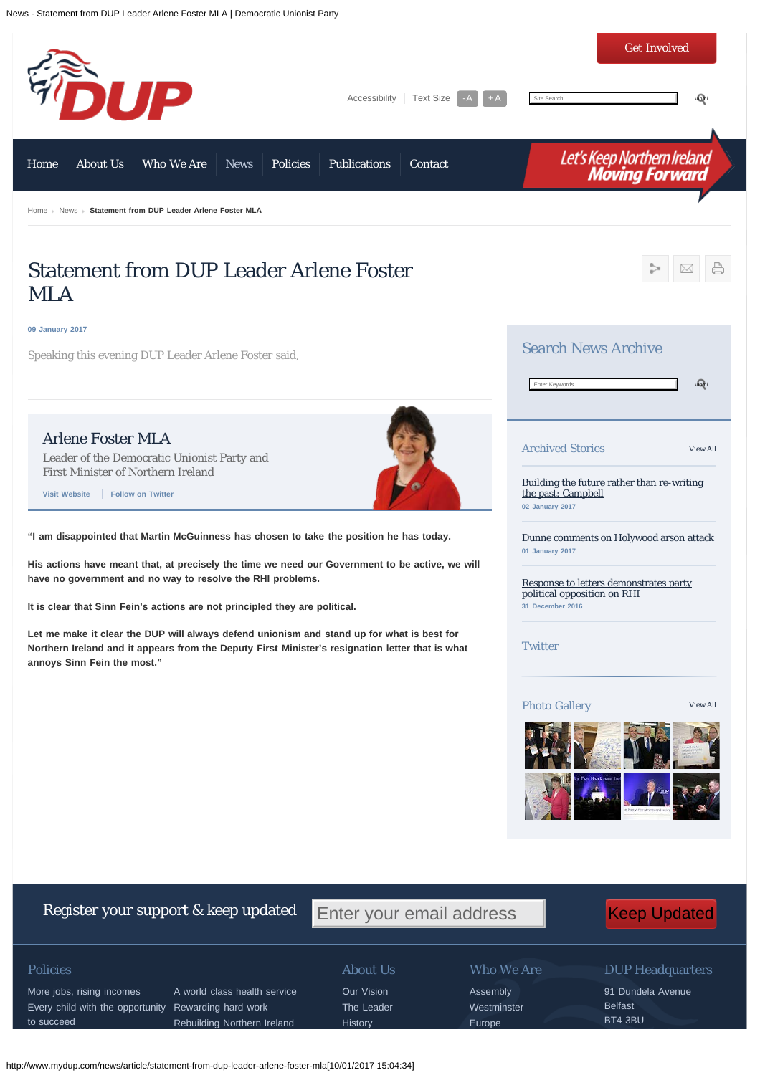News - Statement from DUP Leader Arlene Foster MLA | Democratic Unionist Party



## Every child with the opportunity Rewarding hard work to succeed

More jobs, rising incomes A world class health service Rebuilding Northern Ireland

### Policies About Us

Our Vision The Leader **History** 

# Who We Are

Assembly **Westminster** 

Europe

# DUP Headquarters

91 Dundela Avenue Belfast BT4 3BU